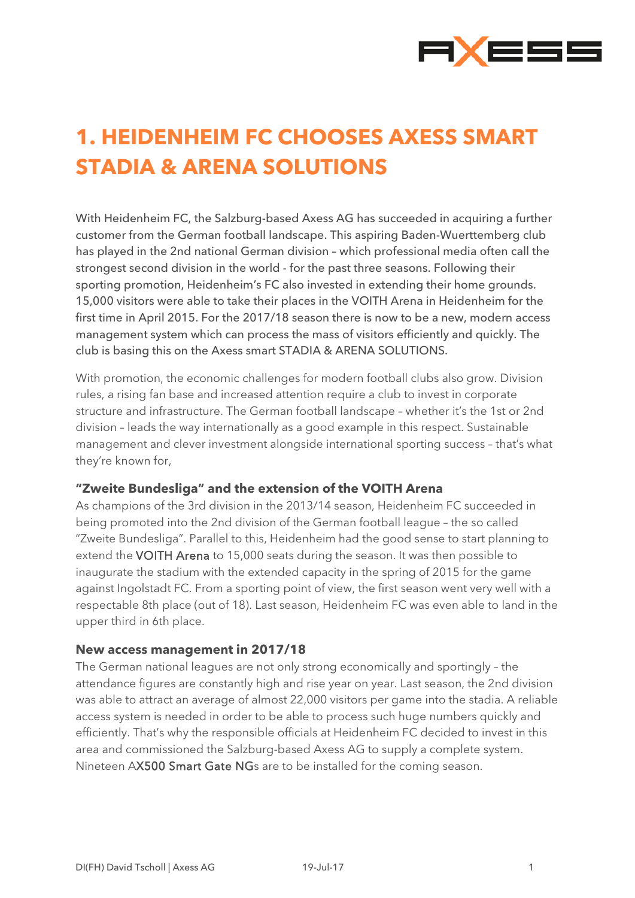

## **1. HEIDENHEIM FC CHOOSES AXESS SMART STADIA & ARENA SOLUTIONS**

With Heidenheim FC, the Salzburg-based Axess AG has succeeded in acquiring a further customer from the German football landscape. This aspiring Baden-Wuerttemberg club has played in the 2nd national German division – which professional media often call the strongest second division in the world - for the past three seasons. Following their sporting promotion, Heidenheim's FC also invested in extending their home grounds. 15,000 visitors were able to take their places in the VOITH Arena in Heidenheim for the first time in April 2015. For the 2017/18 season there is now to be a new, modern access management system which can process the mass of visitors efficiently and quickly. The club is basing this on the Axess smart STADIA & ARENA SOLUTIONS.

With promotion, the economic challenges for modern football clubs also grow. Division rules, a rising fan base and increased attention require a club to invest in corporate structure and infrastructure. The German football landscape – whether it's the 1st or 2nd division – leads the way internationally as a good example in this respect. Sustainable management and clever investment alongside international sporting success – that's what they're known for,

## **"Zweite Bundesliga" and the extension of the VOITH Arena**

As champions of the 3rd division in the 2013/14 season, Heidenheim FC succeeded in being promoted into the 2nd division of the German football league – the so called "Zweite Bundesliga". Parallel to this, Heidenheim had the good sense to start planning to extend the VOITH Arena to 15,000 seats during the season. It was then possible to inaugurate the stadium with the extended capacity in the spring of 2015 for the game against Ingolstadt FC. From a sporting point of view, the first season went very well with a respectable 8th place (out of 18). Last season, Heidenheim FC was even able to land in the upper third in 6th place.

## **New access management in 2017/18**

The German national leagues are not only strong economically and sportingly – the attendance figures are constantly high and rise year on year. Last season, the 2nd division was able to attract an average of almost 22,000 visitors per game into the stadia. A reliable access system is needed in order to be able to process such huge numbers quickly and efficiently. That's why the responsible officials at Heidenheim FC decided to invest in this area and commissioned the Salzburg-based Axess AG to supply a complete system. Nineteen AX500 Smart Gate NGs are to be installed for the coming season.